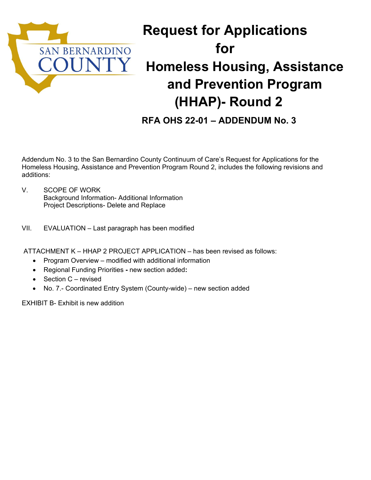

# **Request for Applications for Homeless Housing, Assistance and Prevention Program (HHAP)- Round 2**

**RFA OHS 22-01 – ADDENDUM No. 3**

Addendum No. 3 to the San Bernardino County Continuum of Care's Request for Applications for the Homeless Housing, Assistance and Prevention Program Round 2, includes the following revisions and additions:

- V. SCOPE OF WORK Background Information- Additional Information Project Descriptions- Delete and Replace
- VII. EVALUATION Last paragraph has been modified

ATTACHMENT K – HHAP 2 PROJECT APPLICATION – has been revised as follows:

- Program Overview modified with additional information
- Regional Funding Priorities **-** new section added**:**
- Section C revised
- No. 7.- Coordinated Entry System (County-wide) new section added

EXHIBIT B- Exhibit is new addition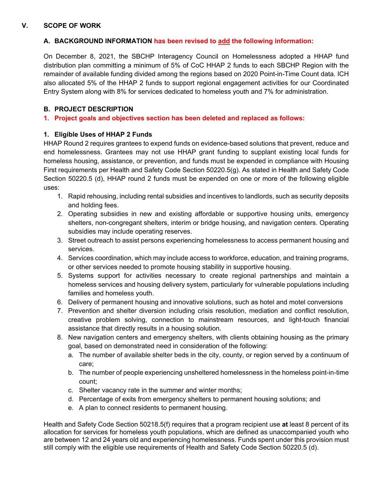# **V. SCOPE OF WORK**

### **A. BACKGROUND INFORMATION has been revised to add the following information:**

On December 8, 2021, the SBCHP Interagency Council on Homelessness adopted a HHAP fund distribution plan committing a minimum of 5% of CoC HHAP 2 funds to each SBCHP Region with the remainder of available funding divided among the regions based on 2020 Point-in-Time Count data. ICH also allocated 5% of the HHAP 2 funds to support regional engagement activities for our Coordinated Entry System along with 8% for services dedicated to homeless youth and 7% for administration.

### **B. PROJECT DESCRIPTION**

**1. Project goals and objectives section has been deleted and replaced as follows:** 

# **1. Eligible Uses of HHAP 2 Funds**

HHAP Round 2 requires grantees to expend funds on evidence-based solutions that prevent, reduce and end homelessness. Grantees may not use HHAP grant funding to supplant existing local funds for homeless housing, assistance, or prevention, and funds must be expended in compliance with Housing First requirements per Health and Safety Code Section 50220.5(g). As stated in Health and Safety Code Section 50220.5 (d), HHAP round 2 funds must be expended on one or more of the following eligible uses:

- 1. Rapid rehousing, including rental subsidies and incentives to landlords, such as security deposits and holding fees.
- 2. Operating subsidies in new and existing affordable or supportive housing units, emergency shelters, non-congregant shelters, interim or bridge housing, and navigation centers. Operating subsidies may include operating reserves.
- 3. Street outreach to assist persons experiencing homelessness to access permanent housing and services.
- 4. Services coordination, which may include access to workforce, education, and training programs, or other services needed to promote housing stability in supportive housing.
- 5. Systems support for activities necessary to create regional partnerships and maintain a homeless services and housing delivery system, particularly for vulnerable populations including families and homeless youth.
- 6. Delivery of permanent housing and innovative solutions, such as hotel and motel conversions
- 7. Prevention and shelter diversion including crisis resolution, mediation and conflict resolution, creative problem solving, connection to mainstream resources, and light-touch financial assistance that directly results in a housing solution.
- 8. New navigation centers and emergency shelters, with clients obtaining housing as the primary goal, based on demonstrated need in consideration of the following:
	- a. The number of available shelter beds in the city, county, or region served by a continuum of care;
	- b. The number of people experiencing unsheltered homelessness in the homeless point-in-time count;
	- c. Shelter vacancy rate in the summer and winter months;
	- d. Percentage of exits from emergency shelters to permanent housing solutions; and
	- e. A plan to connect residents to permanent housing.

Health and Safety Code Section 50218.5(f) requires that a program recipient use **at** least 8 percent of its allocation for services for homeless youth populations, which are defined as unaccompanied youth who are between 12 and 24 years old and experiencing homelessness. Funds spent under this provision must still comply with the eligible use requirements of Health and Safety Code Section 50220.5 (d).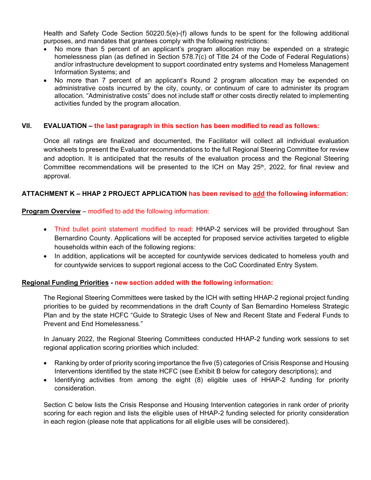Health and Safety Code Section 50220.5(e)-(f) allows funds to be spent for the following additional purposes, and mandates that grantees comply with the following restrictions:

- No more than 5 percent of an applicant's program allocation may be expended on a strategic homelessness plan (as defined in Section 578.7(c) of Title 24 of the Code of Federal Regulations) and/or infrastructure development to support coordinated entry systems and Homeless Management Information Systems; and
- No more than 7 percent of an applicant's Round 2 program allocation may be expended on administrative costs incurred by the city, county, or continuum of care to administer its program allocation. "Administrative costs" does not include staff or other costs directly related to implementing activities funded by the program allocation.

#### **VII. EVALUATION – the last paragraph in this section has been modified to read as follows:**

Once all ratings are finalized and documented, the Facilitator will collect all individual evaluation worksheets to present the Evaluator recommendations to the full Regional Steering Committee for review and adoption. It is anticipated that the results of the evaluation process and the Regional Steering Committee recommendations will be presented to the ICH on May  $25<sup>th</sup>$ , 2022, for final review and approval.

#### **ATTACHMENT K – HHAP 2 PROJECT APPLICATION has been revised to add the following information:**

**Program Overview** – modified to add the following information:

- Third bullet point statement modified to read: HHAP-2 services will be provided throughout San Bernardino County. Applications will be accepted for proposed service activities targeted to eligible households within each of the following regions:
- In addition, applications will be accepted for countywide services dedicated to homeless youth and for countywide services to support regional access to the CoC Coordinated Entry System.

#### **Regional Funding Priorities - new section added with the following information:**

The Regional Steering Committees were tasked by the ICH with setting HHAP-2 regional project funding priorities to be guided by recommendations in the draft County of San Bernardino Homeless Strategic Plan and by the state HCFC "Guide to Strategic Uses of New and Recent State and Federal Funds to Prevent and End Homelessness."

In January 2022, the Regional Steering Committees conducted HHAP-2 funding work sessions to set regional application scoring priorities which included:

- Ranking by order of priority scoring importance the five (5) categories of Crisis Response and Housing Interventions identified by the state HCFC (see Exhibit B below for category descriptions); and
- Identifying activities from among the eight (8) eligible uses of HHAP-2 funding for priority consideration.

Section C below lists the Crisis Response and Housing Intervention categories in rank order of priority scoring for each region and lists the eligible uses of HHAP-2 funding selected for priority consideration in each region (please note that applications for all eligible uses will be considered).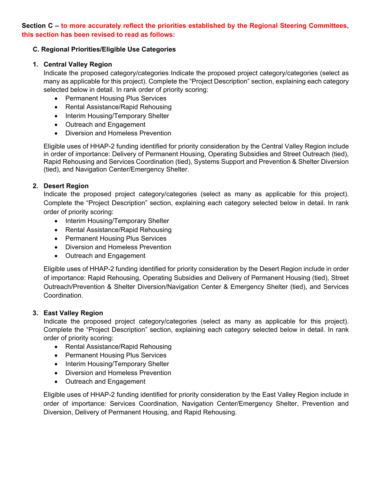# **Section C – to more accurately reflect the priorities established by the Regional Steering Committees, this section has been revised to read as follows:**

#### **C. Regional Priorities/Eligible Use Categories**

#### **1. Central Valley Region**

Indicate the proposed category/categories Indicate the proposed project category/categories (select as many as applicable for this project). Complete the "Project Description" section, explaining each category selected below in detail. In rank order of priority scoring:

- Permanent Housing Plus Services
- Rental Assistance/Rapid Rehousing
- Interim Housing/Temporary Shelter
- Outreach and Engagement
- Diversion and Homeless Prevention

Eligible uses of HHAP-2 funding identified for priority consideration by the Central Valley Region include in order of importance: Delivery of Permanent Housing, Operating Subsidies and Street Outreach (tied), Rapid Rehousing and Services Coordination (tied), Systems Support and Prevention & Shelter Diversion (tied), and Navigation Center/Emergency Shelter.

#### **2. Desert Region**

Indicate the proposed project category/categories (select as many as applicable for this project). Complete the "Project Description" section, explaining each category selected below in detail. In rank order of priority scoring:

- Interim Housing/Temporary Shelter
- Rental Assistance/Rapid Rehousing
- Permanent Housing Plus Services
- Diversion and Homeless Prevention
- Outreach and Engagement

Eligible uses of HHAP-2 funding identified for priority consideration by the Desert Region include in order of importance: Rapid Rehousing, Operating Subsidies and Delivery of Permanent Housing (tied), Street Outreach/Prevention & Shelter Diversion/Navigation Center & Emergency Shelter (tied), and Services Coordination.

#### **3. East Valley Region**

Indicate the proposed project category/categories (select as many as applicable for this project). Complete the "Project Description" section, explaining each category selected below in detail. In rank order of priority scoring:

- Rental Assistance/Rapid Rehousing
- Permanent Housing Plus Services
- Interim Housing/Temporary Shelter
- Diversion and Homeless Prevention
- Outreach and Engagement

Eligible uses of HHAP-2 funding identified for priority consideration by the East Valley Region include in order of importance: Services Coordination, Navigation Center/Emergency Shelter, Prevention and Diversion, Delivery of Permanent Housing, and Rapid Rehousing.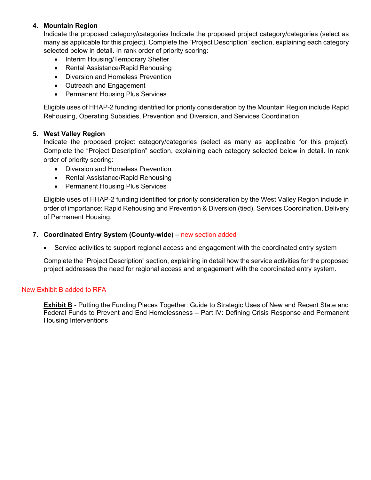# **4. Mountain Region**

Indicate the proposed category/categories Indicate the proposed project category/categories (select as many as applicable for this project). Complete the "Project Description" section, explaining each category selected below in detail. In rank order of priority scoring:

- Interim Housing/Temporary Shelter
- Rental Assistance/Rapid Rehousing
- Diversion and Homeless Prevention
- Outreach and Engagement
- Permanent Housing Plus Services

Eligible uses of HHAP-2 funding identified for priority consideration by the Mountain Region include Rapid Rehousing, Operating Subsidies, Prevention and Diversion, and Services Coordination

### **5. West Valley Region**

Indicate the proposed project category/categories (select as many as applicable for this project). Complete the "Project Description" section, explaining each category selected below in detail. In rank order of priority scoring:

- Diversion and Homeless Prevention
- Rental Assistance/Rapid Rehousing
- Permanent Housing Plus Services

Eligible uses of HHAP-2 funding identified for priority consideration by the West Valley Region include in order of importance: Rapid Rehousing and Prevention & Diversion (tied), Services Coordination, Delivery of Permanent Housing.

### **7. Coordinated Entry System (County-wide)** – new section added

• Service activities to support regional access and engagement with the coordinated entry system

Complete the "Project Description" section, explaining in detail how the service activities for the proposed project addresses the need for regional access and engagement with the coordinated entry system.

#### New Exhibit B added to RFA

**Exhibit B** - Putting the Funding Pieces Together: Guide to Strategic Uses of New and Recent State and Federal Funds to Prevent and End Homelessness – Part IV: Defining Crisis Response and Permanent Housing Interventions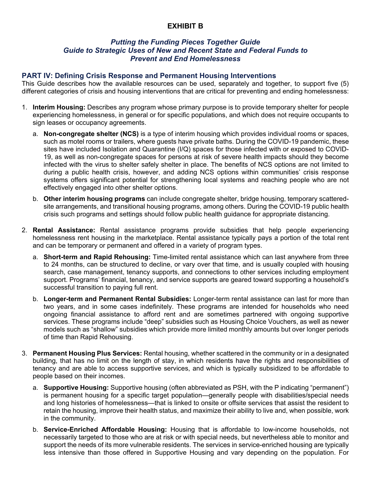# **EXHIBIT B**

#### *Putting the Funding Pieces Together Guide Guide to Strategic Uses of New and Recent State and Federal Funds to Prevent and End Homelessness*

# **PART IV: Defining Crisis Response and Permanent Housing Interventions**

This Guide describes how the available resources can be used, separately and together, to support five (5) different categories of crisis and housing interventions that are critical for preventing and ending homelessness:

- 1. **Interim Housing:** Describes any program whose primary purpose is to provide temporary shelter for people experiencing homelessness, in general or for specific populations, and which does not require occupants to sign leases or occupancy agreements.
	- a. **Non-congregate shelter (NCS)** is a type of interim housing which provides individual rooms or spaces, such as motel rooms or trailers, where guests have private baths. During the COVID-19 pandemic, these sites have included Isolation and Quarantine (I/Q) spaces for those infected with or exposed to COVID-19, as well as non-congregate spaces for persons at risk of severe health impacts should they become infected with the virus to shelter safely shelter in place. The benefits of NCS options are not limited to during a public health crisis, however, and adding NCS options within communities' crisis response systems offers significant potential for strengthening local systems and reaching people who are not effectively engaged into other shelter options.
	- b. **Other interim housing programs** can include congregate shelter, bridge housing, temporary scatteredsite arrangements, and transitional housing programs, among others. During the COVID-19 public health crisis such programs and settings should follow public health guidance for appropriate distancing.
- 2. **Rental Assistance:** Rental assistance programs provide subsidies that help people experiencing homelessness rent housing in the marketplace. Rental assistance typically pays a portion of the total rent and can be temporary or permanent and offered in a variety of program types.
	- a. **Short-term and Rapid Rehousing:** Time-limited rental assistance which can last anywhere from three to 24 months, can be structured to decline, or vary over that time, and is usually coupled with housing search, case management, tenancy supports, and connections to other services including employment support. Programs' financial, tenancy, and service supports are geared toward supporting a household's successful transition to paying full rent.
	- b. **Longer-term and Permanent Rental Subsidies:** Longer-term rental assistance can last for more than two years, and in some cases indefinitely. These programs are intended for households who need ongoing financial assistance to afford rent and are sometimes partnered with ongoing supportive services. These programs include "deep" subsidies such as Housing Choice Vouchers, as well as newer models such as "shallow" subsidies which provide more limited monthly amounts but over longer periods of time than Rapid Rehousing.
- 3. **Permanent Housing Plus Services:** Rental housing, whether scattered in the community or in a designated building, that has no limit on the length of stay, in which residents have the rights and responsibilities of tenancy and are able to access supportive services, and which is typically subsidized to be affordable to people based on their incomes.
	- a. **Supportive Housing:** Supportive housing (often abbreviated as PSH, with the P indicating "permanent") is permanent housing for a specific target population—generally people with disabilities/special needs and long histories of homelessness—that is linked to onsite or offsite services that assist the resident to retain the housing, improve their health status, and maximize their ability to live and, when possible, work in the community.
	- b. **Service-Enriched Affordable Housing:** Housing that is affordable to low-income households, not necessarily targeted to those who are at risk or with special needs, but nevertheless able to monitor and support the needs of its more vulnerable residents. The services in service-enriched housing are typically less intensive than those offered in Supportive Housing and vary depending on the population. For